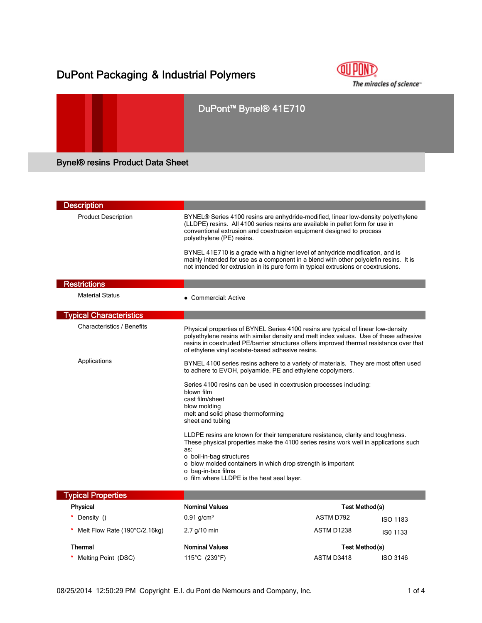## DuPont Packaging & Industrial Polymers



# DuPont™ Bynel® 41E710 Bynel® resins Product Data Sheet

| <b>Description</b>                |                                                                                                                                                                                                                                                                                                                                                |                                                                                                                                                                                                                                                                       |  |
|-----------------------------------|------------------------------------------------------------------------------------------------------------------------------------------------------------------------------------------------------------------------------------------------------------------------------------------------------------------------------------------------|-----------------------------------------------------------------------------------------------------------------------------------------------------------------------------------------------------------------------------------------------------------------------|--|
| <b>Product Description</b>        | conventional extrusion and coextrusion equipment designed to process<br>polyethylene (PE) resins.                                                                                                                                                                                                                                              | BYNEL® Series 4100 resins are anhydride-modified, linear low-density polyethylene<br>(LLDPE) resins. All 4100 series resins are available in pellet form for use in                                                                                                   |  |
|                                   |                                                                                                                                                                                                                                                                                                                                                | BYNEL 41E710 is a grade with a higher level of anhydride modification, and is<br>mainly intended for use as a component in a blend with other polyolefin resins. It is<br>not intended for extrusion in its pure form in typical extrusions or coextrusions.          |  |
| <b>Restrictions</b>               |                                                                                                                                                                                                                                                                                                                                                |                                                                                                                                                                                                                                                                       |  |
| <b>Material Status</b>            | • Commercial: Active                                                                                                                                                                                                                                                                                                                           |                                                                                                                                                                                                                                                                       |  |
| <b>Typical Characteristics</b>    |                                                                                                                                                                                                                                                                                                                                                |                                                                                                                                                                                                                                                                       |  |
| <b>Characteristics / Benefits</b> | of ethylene vinyl acetate-based adhesive resins.                                                                                                                                                                                                                                                                                               | Physical properties of BYNEL Series 4100 resins are typical of linear low-density<br>polyethylene resins with similar density and melt index values. Use of these adhesive<br>resins in coextruded PE/barrier structures offers improved thermal resistance over that |  |
| Applications                      | to adhere to EVOH, polyamide, PE and ethylene copolymers.                                                                                                                                                                                                                                                                                      | BYNEL 4100 series resins adhere to a variety of materials. They are most often used                                                                                                                                                                                   |  |
|                                   | Series 4100 resins can be used in coextrusion processes including:<br>blown film<br>cast film/sheet<br>blow molding<br>melt and solid phase thermoforming<br>sheet and tubing                                                                                                                                                                  |                                                                                                                                                                                                                                                                       |  |
|                                   | LLDPE resins are known for their temperature resistance, clarity and toughness.<br>These physical properties make the 4100 series resins work well in applications such<br>as:<br>o boil-in-bag structures<br>o blow molded containers in which drop strength is important<br>o bag-in-box films<br>o film where LLDPE is the heat seal layer. |                                                                                                                                                                                                                                                                       |  |
| <b>Typical Properties</b>         |                                                                                                                                                                                                                                                                                                                                                |                                                                                                                                                                                                                                                                       |  |
| <b>Physical</b>                   | <b>Nominal Values</b>                                                                                                                                                                                                                                                                                                                          | Test Method(s)                                                                                                                                                                                                                                                        |  |
| Density ()                        | $0.91$ g/cm <sup>3</sup>                                                                                                                                                                                                                                                                                                                       | ASTM D792<br><b>ISO 1183</b>                                                                                                                                                                                                                                          |  |
| Melt Flow Rate (190°C/2.16kg)     | $2.7$ g/10 min                                                                                                                                                                                                                                                                                                                                 | ASTM D1238<br>ISO 1133                                                                                                                                                                                                                                                |  |
| <b>Thermal</b>                    | <b>Nominal Values</b>                                                                                                                                                                                                                                                                                                                          | Test Method(s)                                                                                                                                                                                                                                                        |  |
| Melting Point (DSC)               | 115°C (239°F)                                                                                                                                                                                                                                                                                                                                  | ASTM D3418<br><b>ISO 3146</b>                                                                                                                                                                                                                                         |  |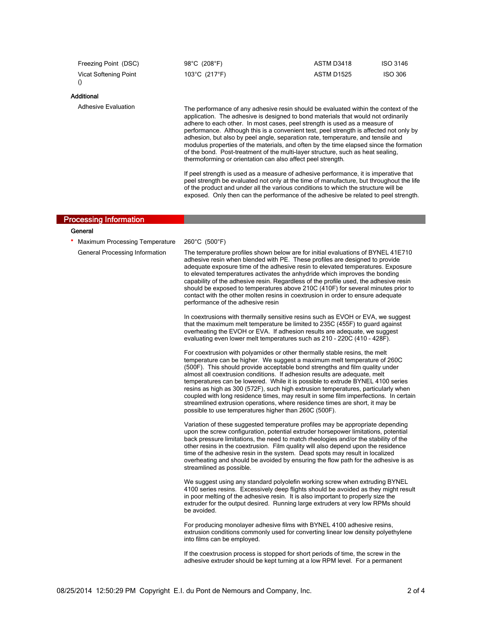| Freezing Point (DSC)              | 98°C (208°F)                                                | ASTM D3418                                                                                                                                                                                                                                                                                                                                                                                                                                                                                                                                                                                                       | ISO 3146       |
|-----------------------------------|-------------------------------------------------------------|------------------------------------------------------------------------------------------------------------------------------------------------------------------------------------------------------------------------------------------------------------------------------------------------------------------------------------------------------------------------------------------------------------------------------------------------------------------------------------------------------------------------------------------------------------------------------------------------------------------|----------------|
| <b>Vicat Softening Point</b><br>O | 103°C (217°F)                                               | <b>ASTM D1525</b>                                                                                                                                                                                                                                                                                                                                                                                                                                                                                                                                                                                                | <b>ISO 306</b> |
| Additional                        |                                                             |                                                                                                                                                                                                                                                                                                                                                                                                                                                                                                                                                                                                                  |                |
| <b>Adhesive Evaluation</b>        | thermoforming or orientation can also affect peel strength. | The performance of any adhesive resin should be evaluated within the context of the<br>application. The adhesive is designed to bond materials that would not ordinarily<br>adhere to each other. In most cases, peel strength is used as a measure of<br>performance. Although this is a convenient test, peel strength is affected not only by<br>adhesion, but also by peel angle, separation rate, temperature, and tensile and<br>modulus properties of the materials, and often by the time elapsed since the formation<br>of the bond. Post-treatment of the multi-layer structure, such as heat sealing, |                |
|                                   |                                                             | If peel strength is used as a measure of adhesive performance, it is imperative that<br>peel strength be evaluated not only at the time of manufacture, but throughout the life                                                                                                                                                                                                                                                                                                                                                                                                                                  |                |

of the product and under all the various conditions to which the structure will be exposed. Only then can the performance of the adhesive be related to peel strength.

adhesive extruder should be kept turning at a low RPM level. For a permanent

| <b>Processing Information</b>         |                                                                                                                                                                                                                                                                                                                                                                                                                                                                                                                                                                                                                                                                                                                             |
|---------------------------------------|-----------------------------------------------------------------------------------------------------------------------------------------------------------------------------------------------------------------------------------------------------------------------------------------------------------------------------------------------------------------------------------------------------------------------------------------------------------------------------------------------------------------------------------------------------------------------------------------------------------------------------------------------------------------------------------------------------------------------------|
| General                               |                                                                                                                                                                                                                                                                                                                                                                                                                                                                                                                                                                                                                                                                                                                             |
| <b>Maximum Processing Temperature</b> | 260°C (500°F)                                                                                                                                                                                                                                                                                                                                                                                                                                                                                                                                                                                                                                                                                                               |
| General Processing Information        | The temperature profiles shown below are for initial evaluations of BYNEL 41E710<br>adhesive resin when blended with PE. These profiles are designed to provide<br>adequate exposure time of the adhesive resin to elevated temperatures. Exposure<br>to elevated temperatures activates the anhydride which improves the bonding<br>capability of the adhesive resin. Regardless of the profile used, the adhesive resin<br>should be exposed to temperatures above 210C (410F) for several minutes prior to<br>contact with the other molten resins in coextrusion in order to ensure adequate<br>performance of the adhesive resin                                                                                       |
|                                       | In coextrusions with thermally sensitive resins such as EVOH or EVA, we suggest<br>that the maximum melt temperature be limited to 235C (455F) to guard against<br>overheating the EVOH or EVA. If adhesion results are adequate, we suggest<br>evaluating even lower melt temperatures such as 210 - 220C (410 - 428F).                                                                                                                                                                                                                                                                                                                                                                                                    |
|                                       | For coextrusion with polyamides or other thermally stable resins, the melt<br>temperature can be higher. We suggest a maximum melt temperature of 260C<br>(500F). This should provide acceptable bond strengths and film quality under<br>almost all coextrusion conditions. If adhesion results are adequate, melt<br>temperatures can be lowered. While it is possible to extrude BYNEL 4100 series<br>resins as high as 300 (572F), such high extrusion temperatures, particularly when<br>coupled with long residence times, may result in some film imperfections. In certain<br>streamlined extrusion operations, where residence times are short, it may be<br>possible to use temperatures higher than 260C (500F). |
|                                       | Variation of these suggested temperature profiles may be appropriate depending<br>upon the screw configuration, potential extruder horsepower limitations, potential<br>back pressure limitations, the need to match rheologies and/or the stability of the<br>other resins in the coextrusion. Film quality will also depend upon the residence<br>time of the adhesive resin in the system. Dead spots may result in localized<br>overheating and should be avoided by ensuring the flow path for the adhesive is as<br>streamlined as possible.                                                                                                                                                                          |
|                                       | We suggest using any standard polyolefin working screw when extruding BYNEL<br>4100 series resins. Excessively deep flights should be avoided as they might result<br>in poor melting of the adhesive resin. It is also important to properly size the<br>extruder for the output desired. Running large extruders at very low RPMs should<br>be avoided.                                                                                                                                                                                                                                                                                                                                                                   |
|                                       | For producing monolayer adhesive films with BYNEL 4100 adhesive resins,<br>extrusion conditions commonly used for converting linear low density polyethylene<br>into films can be employed.                                                                                                                                                                                                                                                                                                                                                                                                                                                                                                                                 |
|                                       | If the coextrusion process is stopped for short periods of time, the screw in the                                                                                                                                                                                                                                                                                                                                                                                                                                                                                                                                                                                                                                           |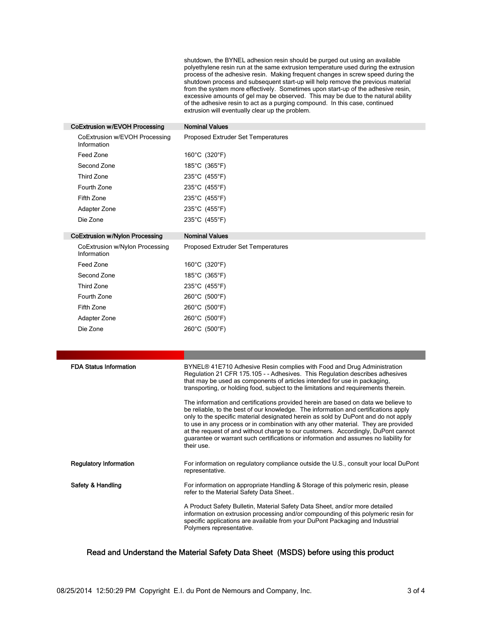shutdown, the BYNEL adhesion resin should be purged out using an available polyethylene resin run at the same extrusion temperature used during the extrusion process of the adhesive resin. Making frequent changes in screw speed during the shutdown process and subsequent start-up will help remove the previous material from the system more effectively. Sometimes upon start-up of the adhesive resin, excessive amounts of gel may be observed. This may be due to the natural ability of the adhesive resin to act as a purging compound. In this case, continued extrusion will eventually clear up the problem.

| CoExtrusion w/EVOH Processing                 | <b>Nominal Values</b>                                                                                                                                                                                                                                                                                                                                                                                                                                                                                                                                                                                                                                                                                                                                                     |
|-----------------------------------------------|---------------------------------------------------------------------------------------------------------------------------------------------------------------------------------------------------------------------------------------------------------------------------------------------------------------------------------------------------------------------------------------------------------------------------------------------------------------------------------------------------------------------------------------------------------------------------------------------------------------------------------------------------------------------------------------------------------------------------------------------------------------------------|
| CoExtrusion w/EVOH Processing<br>Information  | Proposed Extruder Set Temperatures                                                                                                                                                                                                                                                                                                                                                                                                                                                                                                                                                                                                                                                                                                                                        |
| Feed Zone                                     | 160°C (320°F)                                                                                                                                                                                                                                                                                                                                                                                                                                                                                                                                                                                                                                                                                                                                                             |
| Second Zone                                   | 185°C (365°F)                                                                                                                                                                                                                                                                                                                                                                                                                                                                                                                                                                                                                                                                                                                                                             |
| <b>Third Zone</b>                             | 235°C (455°F)                                                                                                                                                                                                                                                                                                                                                                                                                                                                                                                                                                                                                                                                                                                                                             |
| Fourth Zone                                   | 235°C (455°F)                                                                                                                                                                                                                                                                                                                                                                                                                                                                                                                                                                                                                                                                                                                                                             |
| Fifth Zone                                    | 235°C (455°F)                                                                                                                                                                                                                                                                                                                                                                                                                                                                                                                                                                                                                                                                                                                                                             |
| Adapter Zone                                  | 235°C (455°F)                                                                                                                                                                                                                                                                                                                                                                                                                                                                                                                                                                                                                                                                                                                                                             |
| Die Zone                                      | 235°C (455°F)                                                                                                                                                                                                                                                                                                                                                                                                                                                                                                                                                                                                                                                                                                                                                             |
| <b>CoExtrusion w/Nylon Processing</b>         | <b>Nominal Values</b>                                                                                                                                                                                                                                                                                                                                                                                                                                                                                                                                                                                                                                                                                                                                                     |
| CoExtrusion w/Nylon Processing<br>Information | Proposed Extruder Set Temperatures                                                                                                                                                                                                                                                                                                                                                                                                                                                                                                                                                                                                                                                                                                                                        |
| Feed Zone                                     | 160°C (320°F)                                                                                                                                                                                                                                                                                                                                                                                                                                                                                                                                                                                                                                                                                                                                                             |
| Second Zone                                   | 185°C (365°F)                                                                                                                                                                                                                                                                                                                                                                                                                                                                                                                                                                                                                                                                                                                                                             |
| Third Zone                                    | 235°C (455°F)                                                                                                                                                                                                                                                                                                                                                                                                                                                                                                                                                                                                                                                                                                                                                             |
| Fourth Zone                                   | 260°C (500°F)                                                                                                                                                                                                                                                                                                                                                                                                                                                                                                                                                                                                                                                                                                                                                             |
| Fifth Zone                                    | 260°C (500°F)                                                                                                                                                                                                                                                                                                                                                                                                                                                                                                                                                                                                                                                                                                                                                             |
| Adapter Zone                                  | 260°C (500°F)                                                                                                                                                                                                                                                                                                                                                                                                                                                                                                                                                                                                                                                                                                                                                             |
|                                               |                                                                                                                                                                                                                                                                                                                                                                                                                                                                                                                                                                                                                                                                                                                                                                           |
| Die Zone                                      | 260°C (500°F)                                                                                                                                                                                                                                                                                                                                                                                                                                                                                                                                                                                                                                                                                                                                                             |
|                                               |                                                                                                                                                                                                                                                                                                                                                                                                                                                                                                                                                                                                                                                                                                                                                                           |
|                                               |                                                                                                                                                                                                                                                                                                                                                                                                                                                                                                                                                                                                                                                                                                                                                                           |
| <b>FDA Status Information</b>                 | BYNEL® 41E710 Adhesive Resin complies with Food and Drug Administration<br>Regulation 21 CFR 175.105 - - Adhesives. This Regulation describes adhesives<br>that may be used as components of articles intended for use in packaging,<br>transporting, or holding food, subject to the limitations and requirements therein.<br>The information and certifications provided herein are based on data we believe to<br>be reliable, to the best of our knowledge. The information and certifications apply<br>only to the specific material designated herein as sold by DuPont and do not apply<br>to use in any process or in combination with any other material. They are provided<br>at the request of and without charge to our customers. Accordingly, DuPont cannot |
| <b>Regulatory Information</b>                 | quarantee or warrant such certifications or information and assumes no liability for<br>their use.<br>For information on regulatory compliance outside the U.S., consult your local DuPont                                                                                                                                                                                                                                                                                                                                                                                                                                                                                                                                                                                |
|                                               | representative.                                                                                                                                                                                                                                                                                                                                                                                                                                                                                                                                                                                                                                                                                                                                                           |
| Safety & Handling                             | For information on appropriate Handling & Storage of this polymeric resin, please<br>refer to the Material Safety Data Sheet                                                                                                                                                                                                                                                                                                                                                                                                                                                                                                                                                                                                                                              |

## Read and Understand the Material Safety Data Sheet (MSDS) before using this product